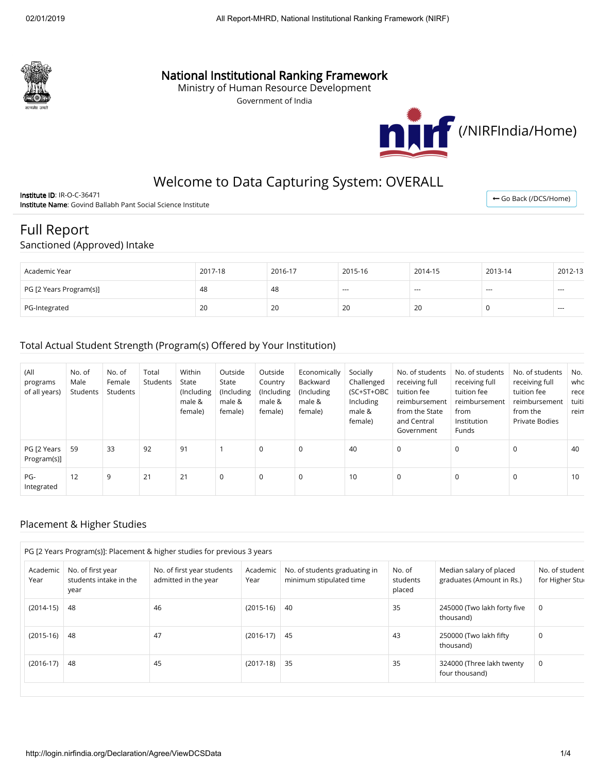

## National Institutional Ranking Framework

Ministry of Human Resource Development

Government of India



← [Go Back \(/DCS/Home\)](http://login.nirfindia.org/DCS/Home)

## Welcome to Data Capturing System: OVERALL

Institute ID: IR-O-C-36471 Institute Name: Govind Ballabh Pant Social Science Institute

# Full Report

#### Sanctioned (Approved) Intake

| Academic Year           | 2017-18 | 2016-17 | 2015-16 | 2014-15 | 2013-14 | 2012-13 |
|-------------------------|---------|---------|---------|---------|---------|---------|
| PG [2 Years Program(s)] | 48      | 48      | $- - -$ | $- - -$ | $- - -$ | $-$     |
| PG-Integrated           | 20      | 20      | 20      | 20      |         | $---$   |

#### Total Actual Student Strength (Program(s) Offered by Your Institution)

| (All<br>programs<br>of all years) | No. of<br>Male<br>Students | No. of<br>Female<br>Students | Total<br>Students | Within<br>State<br>(Including<br>male &<br>female) | Outside<br>State<br>(Including)<br>male &<br>female) | Outside<br>Country<br>(Including<br>male &<br>female) | Economically<br>Backward<br>(Including<br>male &<br>female) | Socially<br>Challenged<br>(SC+ST+OBC<br>Including<br>male &<br>female) | No. of students<br>receiving full<br>tuition fee<br>reimbursement<br>from the State<br>and Central<br>Government | No. of students<br>receiving full<br>tuition fee<br>reimbursement<br>from<br>Institution<br>Funds | No. of students<br>receiving full<br>tuition fee<br>reimbursement<br>from the<br>Private Bodies | No.<br>who<br>rece<br>tuiti<br>reim |
|-----------------------------------|----------------------------|------------------------------|-------------------|----------------------------------------------------|------------------------------------------------------|-------------------------------------------------------|-------------------------------------------------------------|------------------------------------------------------------------------|------------------------------------------------------------------------------------------------------------------|---------------------------------------------------------------------------------------------------|-------------------------------------------------------------------------------------------------|-------------------------------------|
| PG [2 Years<br>Program(s)]        | 59                         | 33                           | 92                | 91                                                 |                                                      | $\mathbf 0$                                           | 0                                                           | 40                                                                     | $\mathbf 0$                                                                                                      | $\Omega$                                                                                          | 0                                                                                               | 40                                  |
| PG-<br>Integrated                 | 12                         | 9                            | 21                | 21                                                 | 0                                                    | $\mathbf 0$                                           | 0                                                           | 10                                                                     | 0                                                                                                                | 0                                                                                                 | 0                                                                                               | 10                                  |

#### Placement & Higher Studies

|                  |                                                     | PG [2 Years Program(s)]: Placement & higher studies for previous 3 years |                  |                                                          |                              |                                                      |                                   |
|------------------|-----------------------------------------------------|--------------------------------------------------------------------------|------------------|----------------------------------------------------------|------------------------------|------------------------------------------------------|-----------------------------------|
| Academic<br>Year | No. of first year<br>students intake in the<br>year | No. of first year students<br>admitted in the year                       | Academic<br>Year | No. of students graduating in<br>minimum stipulated time | No. of<br>students<br>placed | Median salary of placed<br>graduates (Amount in Rs.) | No. of student<br>for Higher Stur |
| $(2014-15)$      | 48                                                  | 46                                                                       | $(2015-16)$      | 40                                                       | 35                           | 245000 (Two lakh forty five<br>thousand)             | 0                                 |
| $(2015-16)$      | 48                                                  | 47                                                                       | $(2016-17)$      | 45                                                       | 43                           | 250000 (Two lakh fifty<br>thousand)                  | 0                                 |
| $(2016-17)$      | 48                                                  | 45                                                                       | (2017-18)        | 35                                                       | 35                           | 324000 (Three lakh twenty<br>four thousand)          | 0                                 |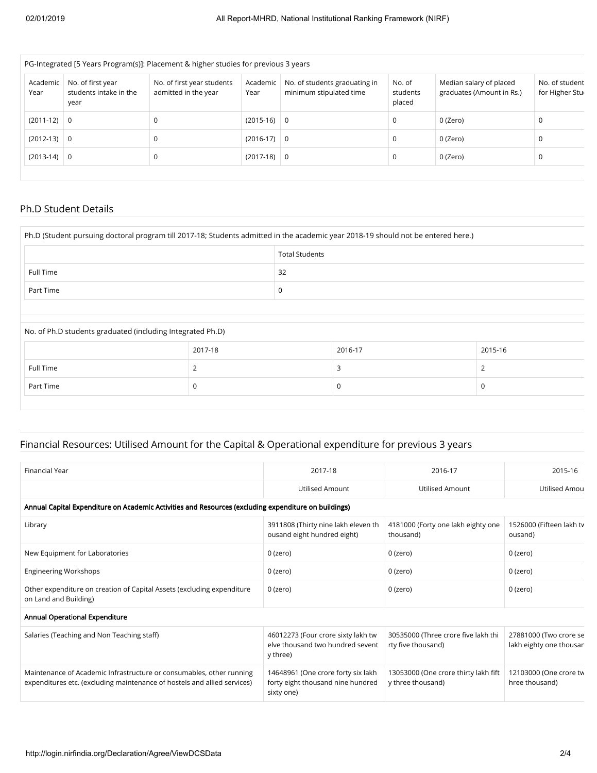|                  |                                                     | PG-Integrated [5 Years Program(s)]: Placement & higher studies for previous 3 years |                  |                                                          |                              |                                                      |                                   |
|------------------|-----------------------------------------------------|-------------------------------------------------------------------------------------|------------------|----------------------------------------------------------|------------------------------|------------------------------------------------------|-----------------------------------|
| Academic<br>Year | No. of first year<br>students intake in the<br>year | No. of first year students<br>admitted in the year                                  | Academic<br>Year | No. of students graduating in<br>minimum stipulated time | No. of<br>students<br>placed | Median salary of placed<br>graduates (Amount in Rs.) | No. of student<br>for Higher Stur |
| $(2011-12)$ 0    |                                                     | 0                                                                                   | $(2015-16)$ 0    |                                                          | 0                            | 0 (Zero)                                             | 0                                 |
| $(2012-13)$ 0    |                                                     | 0                                                                                   | $(2016-17)$ 0    |                                                          | 0                            | 0 (Zero)                                             | C                                 |
| $(2013-14)$ 0    |                                                     | 0                                                                                   | $(2017-18)$ 0    |                                                          | 0                            | 0 (Zero)                                             | <sup>-</sup>                      |
|                  |                                                     |                                                                                     |                  |                                                          |                              |                                                      |                                   |

#### Ph.D Student Details

| Ph.D (Student pursuing doctoral program till 2017-18; Students admitted in the academic year 2018-19 should not be entered here.) |         |                       |         |         |  |  |
|-----------------------------------------------------------------------------------------------------------------------------------|---------|-----------------------|---------|---------|--|--|
|                                                                                                                                   |         | <b>Total Students</b> |         |         |  |  |
| Full Time                                                                                                                         |         | 32                    |         |         |  |  |
| Part Time                                                                                                                         | 0       |                       |         |         |  |  |
|                                                                                                                                   |         |                       |         |         |  |  |
| No. of Ph.D students graduated (including Integrated Ph.D)                                                                        |         |                       |         |         |  |  |
|                                                                                                                                   | 2017-18 |                       | 2016-17 | 2015-16 |  |  |
| Full Time                                                                                                                         | 2       |                       | 3       | 2       |  |  |
| Part Time                                                                                                                         | 0       |                       | 0       | 0       |  |  |

## Financial Resources: Utilised Amount for the Capital & Operational expenditure for previous 3 years

| <b>Financial Year</b>                                                                                                                            | 2017-18                                                                               | 2016-17                                                   | 2015-16                                           |
|--------------------------------------------------------------------------------------------------------------------------------------------------|---------------------------------------------------------------------------------------|-----------------------------------------------------------|---------------------------------------------------|
|                                                                                                                                                  | <b>Utilised Amount</b>                                                                | <b>Utilised Amount</b>                                    | Utilised Amou                                     |
| Annual Capital Expenditure on Academic Activities and Resources (excluding expenditure on buildings)                                             |                                                                                       |                                                           |                                                   |
| Library                                                                                                                                          | 3911808 (Thirty nine lakh eleven th<br>ousand eight hundred eight)                    | 4181000 (Forty one lakh eighty one<br>thousand)           | 1526000 (Fifteen lakh tv<br>ousand)               |
| New Equipment for Laboratories                                                                                                                   | 0 (zero)                                                                              | 0 (zero)                                                  | $0$ (zero)                                        |
| <b>Engineering Workshops</b>                                                                                                                     | 0 (zero)                                                                              | 0 (zero)                                                  | $0$ (zero)                                        |
| Other expenditure on creation of Capital Assets (excluding expenditure<br>on Land and Building)                                                  | 0 (zero)                                                                              | 0 (zero)                                                  | $0$ (zero)                                        |
| Annual Operational Expenditure                                                                                                                   |                                                                                       |                                                           |                                                   |
| Salaries (Teaching and Non Teaching staff)                                                                                                       | 46012273 (Four crore sixty lakh tw<br>elve thousand two hundred sevent<br>y three)    | 30535000 (Three crore five lakh thi<br>rty five thousand) | 27881000 (Two crore se<br>lakh eighty one thousan |
| Maintenance of Academic Infrastructure or consumables, other running<br>expenditures etc. (excluding maintenance of hostels and allied services) | 14648961 (One crore forty six lakh<br>forty eight thousand nine hundred<br>sixty one) | 13053000 (One crore thirty lakh fift<br>y three thousand) | 12103000 (One crore tw<br>hree thousand)          |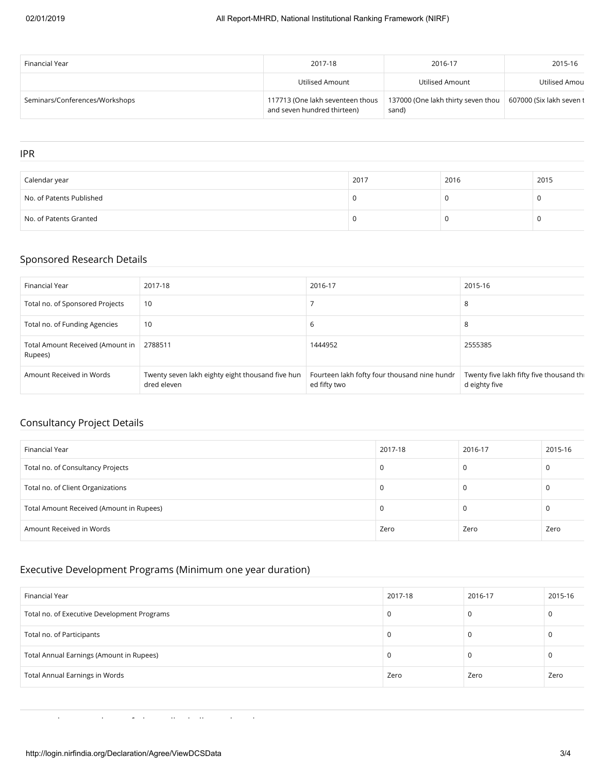| Financial Year                 | 2017-18                                                         | 2016-17                                     | 2015-16                  |
|--------------------------------|-----------------------------------------------------------------|---------------------------------------------|--------------------------|
|                                | Utilised Amount                                                 | Utilised Amount                             | Utilised Amou            |
| Seminars/Conferences/Workshops | 117713 (One lakh seventeen thous<br>and seven hundred thirteen) | 137000 (One lakh thirty seven thou<br>sand) | 607000 (Six lakh seven t |

#### IPR

| Calendar year            | 2017 | 2016 | 2015 |
|--------------------------|------|------|------|
| No. of Patents Published |      |      |      |
| No. of Patents Granted   |      |      |      |

## Sponsored Research Details

| Financial Year                              | 2017-18                                                         | 2016-17                                                      | 2015-16                                                   |
|---------------------------------------------|-----------------------------------------------------------------|--------------------------------------------------------------|-----------------------------------------------------------|
| Total no. of Sponsored Projects             | 10                                                              |                                                              | 8                                                         |
| Total no. of Funding Agencies               | 10                                                              | 6                                                            | 8                                                         |
| Total Amount Received (Amount in<br>Rupees) | 2788511                                                         | 1444952                                                      | 2555385                                                   |
| Amount Received in Words                    | Twenty seven lakh eighty eight thousand five hun<br>dred eleven | Fourteen lakh fofty four thousand nine hundr<br>ed fifty two | Twenty five lakh fifty five thousand thi<br>d eighty five |

## Consultancy Project Details

| Financial Year                           | 2017-18 | 2016-17 | 2015-16 |
|------------------------------------------|---------|---------|---------|
| Total no. of Consultancy Projects        |         |         |         |
| Total no. of Client Organizations        |         |         |         |
| Total Amount Received (Amount in Rupees) |         |         |         |
| Amount Received in Words                 | Zero    | Zero    | Zero    |

### Executive Development Programs (Minimum one year duration)

| Financial Year                              | 2017-18 | 2016-17 | 2015-16 |
|---------------------------------------------|---------|---------|---------|
| Total no. of Executive Development Programs |         | 0       | 0       |
| Total no. of Participants                   |         | υ       | τ.      |
| Total Annual Earnings (Amount in Rupees)    |         | U       | U       |
| <b>Total Annual Earnings in Words</b>       | Zero    | Zero    | Zero    |

l l f h ll h ll d d